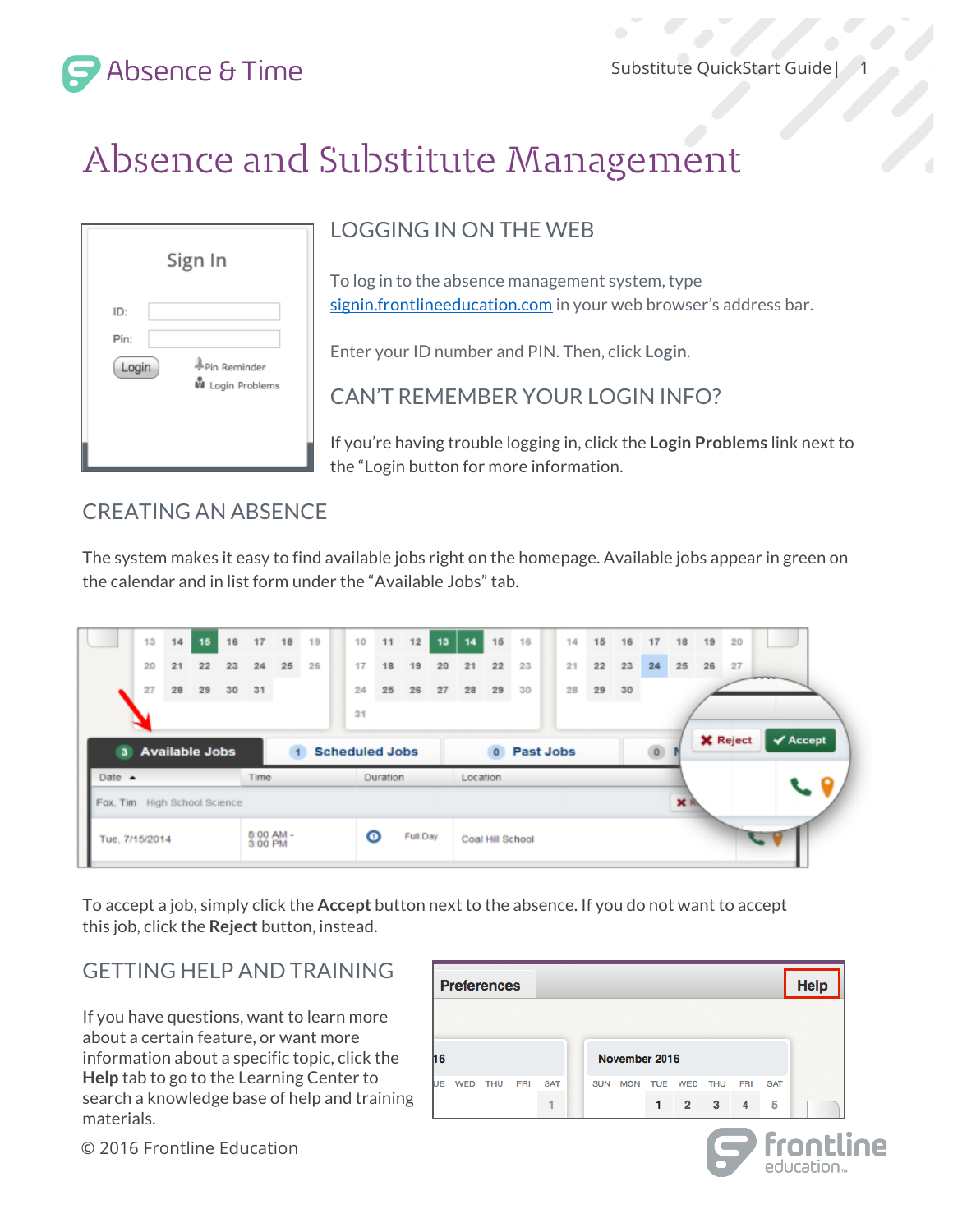1



# Absence and Substitute Management

|                      | Sign In                                 |
|----------------------|-----------------------------------------|
| ID:<br>Pin:<br>Login | Pin Reminder<br><b>M</b> Login Problems |

## LOGGING IN ON THE WEB

To log in to the absence management system, type signin.frontlineeducation.com in your web browser's address bar.

Enter your ID number and PIN. Then, click **Login**.

CAN'T REMEMBER YOUR LOGIN INFO?

If you're having trouble logging in, click the **Login Problems** link next to the "Login button for more information.

## CREATING AN ABSENCE

The system makes it easy to find available jobs right on the homepage. Available jobs appear in green on the calendar and in list form under the "Available Jobs" tab.

|                                          |                                                  | 13<br>20<br>27   | 14<br>21<br>28 | 15<br>22<br>29 | 16<br>23<br>30 | 17<br>24<br>31 | 18<br>25 | 19<br>26 |  | 10<br>17<br>24              | 11<br>18<br>25  | 12<br>19<br>26 | 13<br>20<br>27 | 14<br>21<br>28 | 15<br>22<br>29   | 16<br>23<br>30 |  | 14<br>21<br>28 | 15<br>22<br>29 | 16<br>23<br>30 | 17<br>24        | 18<br>25 | 19<br>26 | 20<br>27        |                              |
|------------------------------------------|--------------------------------------------------|------------------|----------------|----------------|----------------|----------------|----------|----------|--|-----------------------------|-----------------|----------------|----------------|----------------|------------------|----------------|--|----------------|----------------|----------------|-----------------|----------|----------|-----------------|------------------------------|
|                                          |                                                  | 3 Available Jobs |                |                |                |                |          |          |  | 31<br><b>Scheduled Jobs</b> |                 |                |                |                | $\circ$          | Past Jobs      |  |                |                |                | $\circ$ $\circ$ |          |          | <b>X</b> Reject | $\blacktriangleright$ Accept |
|                                          | Date $\triangle$<br>Fox, Tim High School Science |                  |                |                |                | Time.          |          |          |  |                             | <b>Duration</b> |                |                | Location       |                  |                |  |                |                |                |                 | ×R       |          |                 | ╰                            |
| $8:00$ AM -<br>Tue, 7/15/2014<br>3:00 PM |                                                  |                  |                |                |                |                |          |          |  | ⊙                           |                 | Full Day       |                |                | Coal Hill School |                |  |                |                |                |                 |          |          |                 |                              |

To accept a job, simply click the **Accept** button next to the absence. If you do not want to accept this job, click the **Reject** button, instead.

## GETTING HELP AND TRAINING

If you have questions, want to learn more about a certain feature, or want more information about a specific topic, click the **Help** tab to go to the Learning Center to search a knowledge base of help and training materials.

| <b>Help</b><br><b>Preferences</b> |               |            |            |            |  |            |            |            |                |                          |                |            |  |  |  |
|-----------------------------------|---------------|------------|------------|------------|--|------------|------------|------------|----------------|--------------------------|----------------|------------|--|--|--|
|                                   |               |            |            |            |  |            |            |            |                |                          |                |            |  |  |  |
| 16                                | November 2016 |            |            |            |  |            |            |            |                |                          |                |            |  |  |  |
| UE                                | <b>WED</b>    | <b>THU</b> | <b>FRI</b> | <b>SAT</b> |  | <b>SUN</b> | <b>MON</b> | <b>TUE</b> | <b>WED</b>     | <b>THU</b>               | <b>FRI</b>     | <b>SAT</b> |  |  |  |
|                                   |               |            |            | ٠          |  |            |            | 1          | $\overline{2}$ | $\overline{\phantom{a}}$ | $\overline{4}$ | 5          |  |  |  |

education<sub>-</sub>

© 2016 Frontline Education